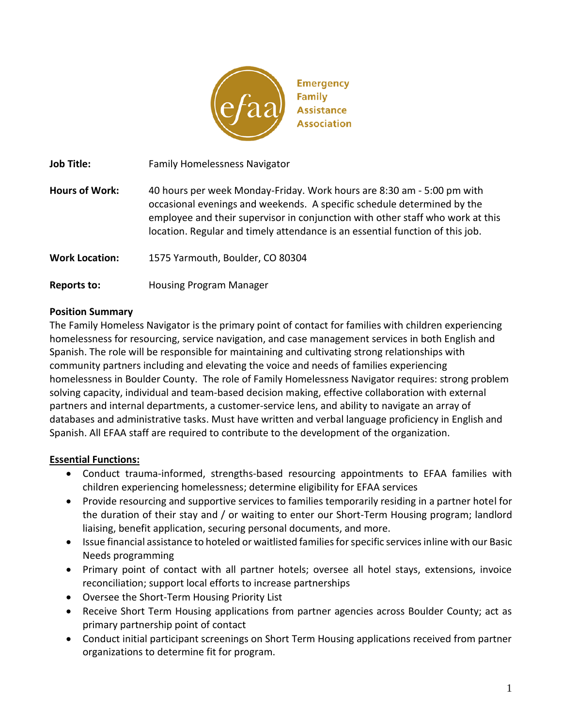

**Job Title:** Family Homelessness Navigator

**Hours of Work:** 40 hours per week Monday-Friday. Work hours are 8:30 am - 5:00 pm with occasional evenings and weekends. A specific schedule determined by the employee and their supervisor in conjunction with other staff who work at this location. Regular and timely attendance is an essential function of this job.

**Work Location:** 1575 Yarmouth, Boulder, CO 80304

**Reports to:** Housing Program Manager

### **Position Summary**

The Family Homeless Navigator is the primary point of contact for families with children experiencing homelessness for resourcing, service navigation, and case management services in both English and Spanish. The role will be responsible for maintaining and cultivating strong relationships with community partners including and elevating the voice and needs of families experiencing homelessness in Boulder County. The role of Family Homelessness Navigator requires: strong problem solving capacity, individual and team-based decision making, effective collaboration with external partners and internal departments, a customer-service lens, and ability to navigate an array of databases and administrative tasks. Must have written and verbal language proficiency in English and Spanish. All EFAA staff are required to contribute to the development of the organization.

## **Essential Functions:**

- Conduct trauma-informed, strengths-based resourcing appointments to EFAA families with children experiencing homelessness; determine eligibility for EFAA services
- Provide resourcing and supportive services to families temporarily residing in a partner hotel for the duration of their stay and / or waiting to enter our Short-Term Housing program; landlord liaising, benefit application, securing personal documents, and more.
- Issue financial assistance to hoteled or waitlisted families for specific services inline with our Basic Needs programming
- Primary point of contact with all partner hotels; oversee all hotel stays, extensions, invoice reconciliation; support local efforts to increase partnerships
- Oversee the Short-Term Housing Priority List
- Receive Short Term Housing applications from partner agencies across Boulder County; act as primary partnership point of contact
- Conduct initial participant screenings on Short Term Housing applications received from partner organizations to determine fit for program.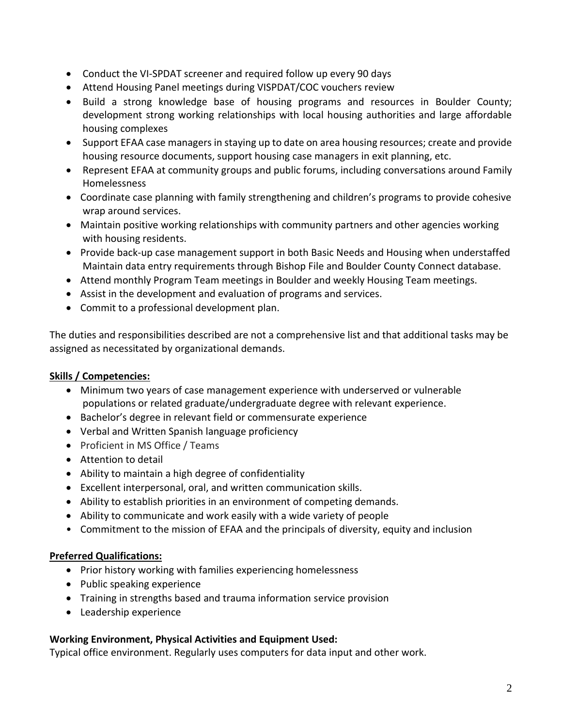- Conduct the VI-SPDAT screener and required follow up every 90 days
- Attend Housing Panel meetings during VISPDAT/COC vouchers review
- Build a strong knowledge base of housing programs and resources in Boulder County; development strong working relationships with local housing authorities and large affordable housing complexes
- Support EFAA case managers in staying up to date on area housing resources; create and provide housing resource documents, support housing case managers in exit planning, etc.
- Represent EFAA at community groups and public forums, including conversations around Family Homelessness
- Coordinate case planning with family strengthening and children's programs to provide cohesive wrap around services.
- Maintain positive working relationships with community partners and other agencies working with housing residents.
- Provide back-up case management support in both Basic Needs and Housing when understaffed Maintain data entry requirements through Bishop File and Boulder County Connect database.
- Attend monthly Program Team meetings in Boulder and weekly Housing Team meetings.
- Assist in the development and evaluation of programs and services.
- Commit to a professional development plan.

The duties and responsibilities described are not a comprehensive list and that additional tasks may be assigned as necessitated by organizational demands.

# **Skills / Competencies:**

- Minimum two years of case management experience with underserved or vulnerable populations or related graduate/undergraduate degree with relevant experience.
- Bachelor's degree in relevant field or commensurate experience
- Verbal and Written Spanish language proficiency
- Proficient in MS Office / Teams
- Attention to detail
- Ability to maintain a high degree of confidentiality
- Excellent interpersonal, oral, and written communication skills.
- Ability to establish priorities in an environment of competing demands.
- Ability to communicate and work easily with a wide variety of people
- Commitment to the mission of EFAA and the principals of diversity, equity and inclusion

## **Preferred Qualifications:**

- Prior history working with families experiencing homelessness
- Public speaking experience
- Training in strengths based and trauma information service provision
- Leadership experience

## **Working Environment, Physical Activities and Equipment Used:**

Typical office environment. Regularly uses computers for data input and other work.